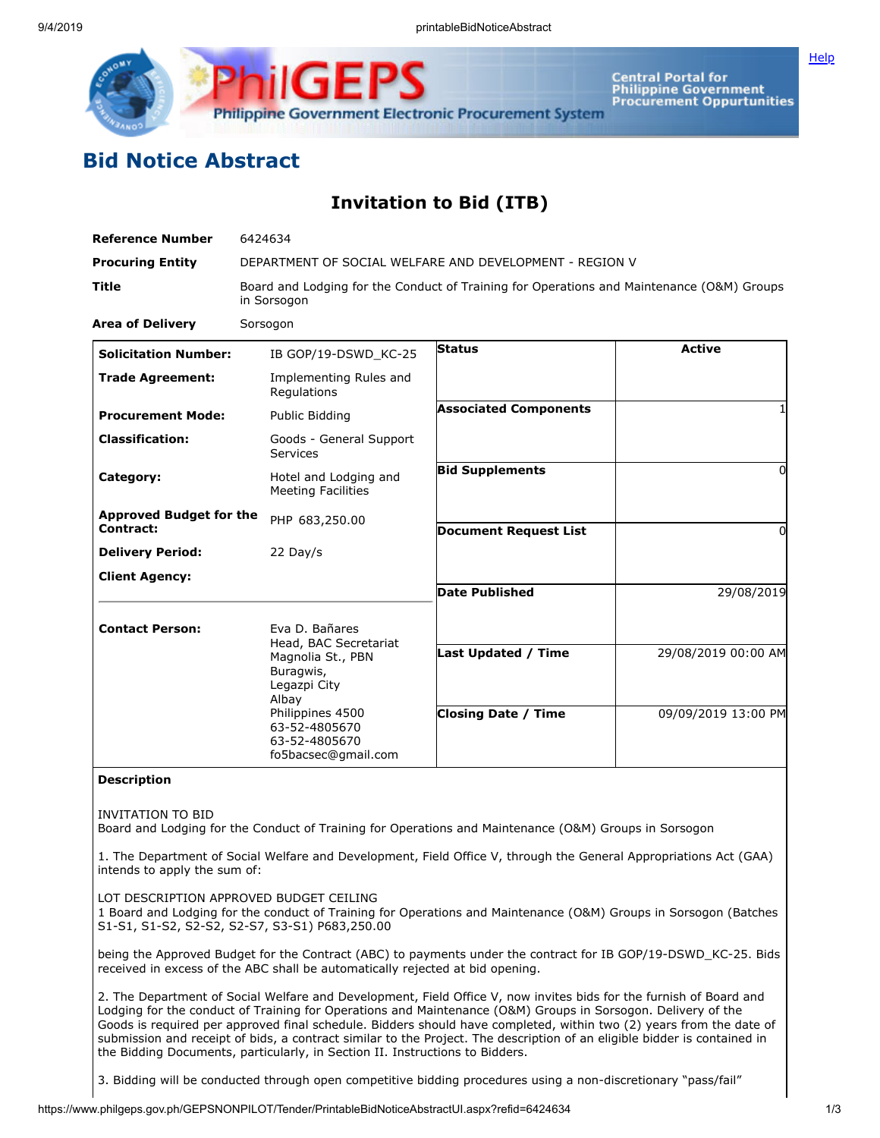

**Central Portal for<br>Philippine Government Procurement Oppurtunities**  **[Help](javascript:void(window.open()** 

## **Bid Notice Abstract**

## **Invitation to Bid (ITB)**

| <b>Reference Number</b>                     | 6424634                                                                                                                                                                         |                                                   |                                            |
|---------------------------------------------|---------------------------------------------------------------------------------------------------------------------------------------------------------------------------------|---------------------------------------------------|--------------------------------------------|
| <b>Procuring Entity</b>                     | DEPARTMENT OF SOCIAL WELFARE AND DEVELOPMENT - REGION V                                                                                                                         |                                                   |                                            |
| <b>Title</b>                                | Board and Lodging for the Conduct of Training for Operations and Maintenance (O&M) Groups<br>in Sorsogon                                                                        |                                                   |                                            |
| <b>Area of Delivery</b>                     | Sorsogon                                                                                                                                                                        |                                                   |                                            |
| <b>Solicitation Number:</b>                 | IB GOP/19-DSWD KC-25                                                                                                                                                            | <b>Status</b>                                     | <b>Active</b>                              |
| <b>Trade Agreement:</b>                     | Implementing Rules and<br>Regulations                                                                                                                                           |                                                   |                                            |
| <b>Procurement Mode:</b>                    | Public Bidding                                                                                                                                                                  | <b>Associated Components</b>                      |                                            |
| <b>Classification:</b>                      | Goods - General Support<br>Services                                                                                                                                             |                                                   |                                            |
| Category:                                   | Hotel and Lodging and<br><b>Meeting Facilities</b>                                                                                                                              | <b>Bid Supplements</b>                            | <sup>0</sup>                               |
| <b>Approved Budget for the</b><br>Contract: | PHP 683,250.00                                                                                                                                                                  | <b>Document Request List</b>                      | 0                                          |
| <b>Delivery Period:</b>                     | 22 Day/s                                                                                                                                                                        |                                                   |                                            |
| <b>Client Agency:</b>                       |                                                                                                                                                                                 | <b>Date Published</b>                             | 29/08/2019                                 |
| <b>Contact Person:</b>                      | Eva D. Bañares<br>Head, BAC Secretariat<br>Magnolia St., PBN<br>Buragwis,<br>Legazpi City<br>Albay<br>Philippines 4500<br>63-52-4805670<br>63-52-4805670<br>fo5bacsec@gmail.com | Last Updated / Time<br><b>Closing Date / Time</b> | 29/08/2019 00:00 AM<br>09/09/2019 13:00 PM |

## **Description**

INVITATION TO BID

Board and Lodging for the Conduct of Training for Operations and Maintenance (O&M) Groups in Sorsogon

1. The Department of Social Welfare and Development, Field Office V, through the General Appropriations Act (GAA) intends to apply the sum of:

LOT DESCRIPTION APPROVED BUDGET CEILING

1 Board and Lodging for the conduct of Training for Operations and Maintenance (O&M) Groups in Sorsogon (Batches S1-S1, S1-S2, S2-S2, S2-S7, S3-S1) P683,250.00

being the Approved Budget for the Contract (ABC) to payments under the contract for IB GOP/19-DSWD\_KC-25. Bids received in excess of the ABC shall be automatically rejected at bid opening.

2. The Department of Social Welfare and Development, Field Office V, now invites bids for the furnish of Board and Lodging for the conduct of Training for Operations and Maintenance (O&M) Groups in Sorsogon. Delivery of the Goods is required per approved final schedule. Bidders should have completed, within two (2) years from the date of submission and receipt of bids, a contract similar to the Project. The description of an eligible bidder is contained in the Bidding Documents, particularly, in Section II. Instructions to Bidders.

3. Bidding will be conducted through open competitive bidding procedures using a non-discretionary "pass/fail"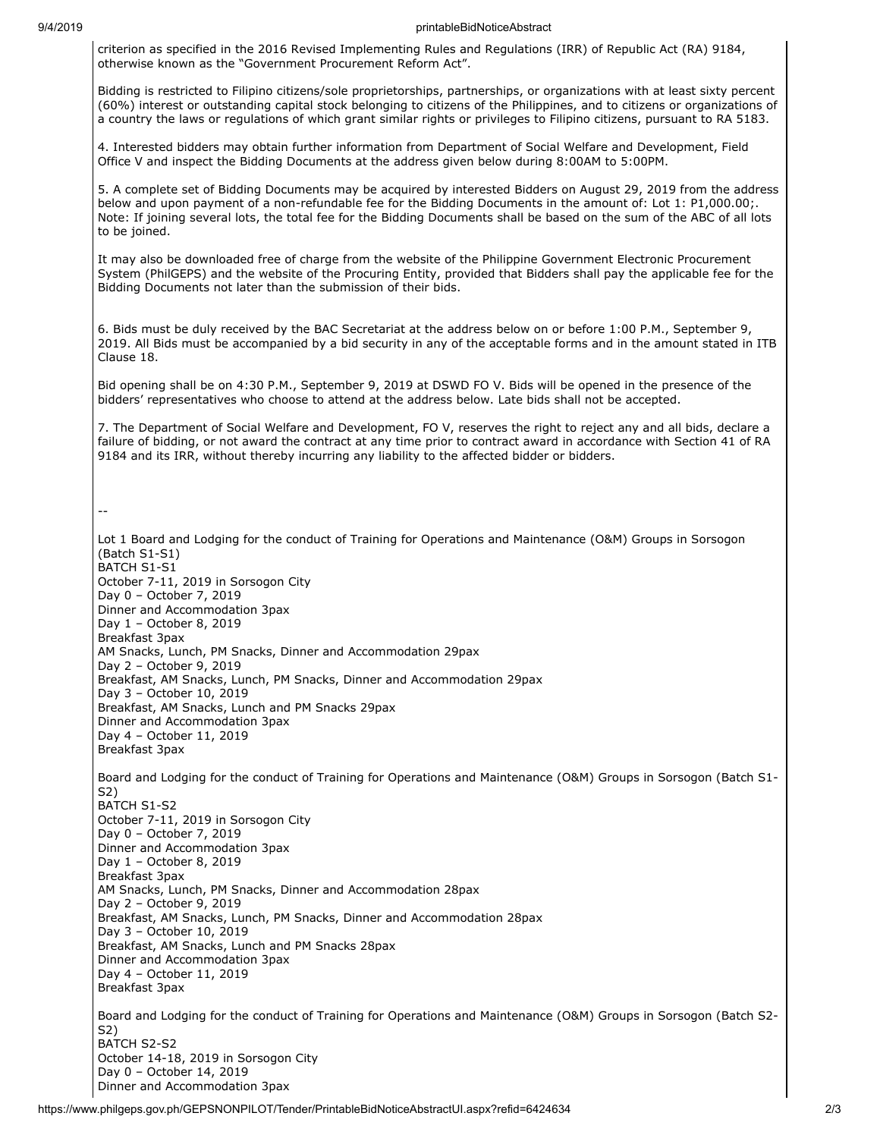## 9/4/2019 printableBidNoticeAbstract

criterion as specified in the 2016 Revised Implementing Rules and Regulations (IRR) of Republic Act (RA) 9184, otherwise known as the "Government Procurement Reform Act".

Bidding is restricted to Filipino citizens/sole proprietorships, partnerships, or organizations with at least sixty percent (60%) interest or outstanding capital stock belonging to citizens of the Philippines, and to citizens or organizations of a country the laws or regulations of which grant similar rights or privileges to Filipino citizens, pursuant to RA 5183.

4. Interested bidders may obtain further information from Department of Social Welfare and Development, Field Office V and inspect the Bidding Documents at the address given below during 8:00AM to 5:00PM.

5. A complete set of Bidding Documents may be acquired by interested Bidders on August 29, 2019 from the address below and upon payment of a non-refundable fee for the Bidding Documents in the amount of: Lot 1: P1,000.00;. Note: If joining several lots, the total fee for the Bidding Documents shall be based on the sum of the ABC of all lots to be joined.

It may also be downloaded free of charge from the website of the Philippine Government Electronic Procurement System (PhilGEPS) and the website of the Procuring Entity, provided that Bidders shall pay the applicable fee for the Bidding Documents not later than the submission of their bids.

6. Bids must be duly received by the BAC Secretariat at the address below on or before 1:00 P.M., September 9, 2019. All Bids must be accompanied by a bid security in any of the acceptable forms and in the amount stated in ITB Clause 18.

Bid opening shall be on 4:30 P.M., September 9, 2019 at DSWD FO V. Bids will be opened in the presence of the bidders' representatives who choose to attend at the address below. Late bids shall not be accepted.

7. The Department of Social Welfare and Development, FO V, reserves the right to reject any and all bids, declare a failure of bidding, or not award the contract at any time prior to contract award in accordance with Section 41 of RA 9184 and its IRR, without thereby incurring any liability to the affected bidder or bidders.

--

Lot 1 Board and Lodging for the conduct of Training for Operations and Maintenance (O&M) Groups in Sorsogon (Batch S1-S1) BATCH S1-S1 October 7-11, 2019 in Sorsogon City Day 0 – October 7, 2019 Dinner and Accommodation 3pax Day 1 – October 8, 2019 Breakfast 3pax AM Snacks, Lunch, PM Snacks, Dinner and Accommodation 29pax Day 2 – October 9, 2019 Breakfast, AM Snacks, Lunch, PM Snacks, Dinner and Accommodation 29pax Day 3 – October 10, 2019 Breakfast, AM Snacks, Lunch and PM Snacks 29pax Dinner and Accommodation 3pax Day 4 – October 11, 2019 Breakfast 3pax Board and Lodging for the conduct of Training for Operations and Maintenance (O&M) Groups in Sorsogon (Batch S1- S2) BATCH S1-S2 October 7-11, 2019 in Sorsogon City Day 0 – October 7, 2019 Dinner and Accommodation 3pax Day 1 – October 8, 2019 Breakfast 3pax AM Snacks, Lunch, PM Snacks, Dinner and Accommodation 28pax Day 2 – October 9, 2019 Breakfast, AM Snacks, Lunch, PM Snacks, Dinner and Accommodation 28pax Day 3 – October 10, 2019 Breakfast, AM Snacks, Lunch and PM Snacks 28pax Dinner and Accommodation 3pax Day 4 – October 11, 2019 Breakfast 3pax Board and Lodging for the conduct of Training for Operations and Maintenance (O&M) Groups in Sorsogon (Batch S2- S2) BATCH S2-S2 October 14-18, 2019 in Sorsogon City Day 0 – October 14, 2019 Dinner and Accommodation 3pax